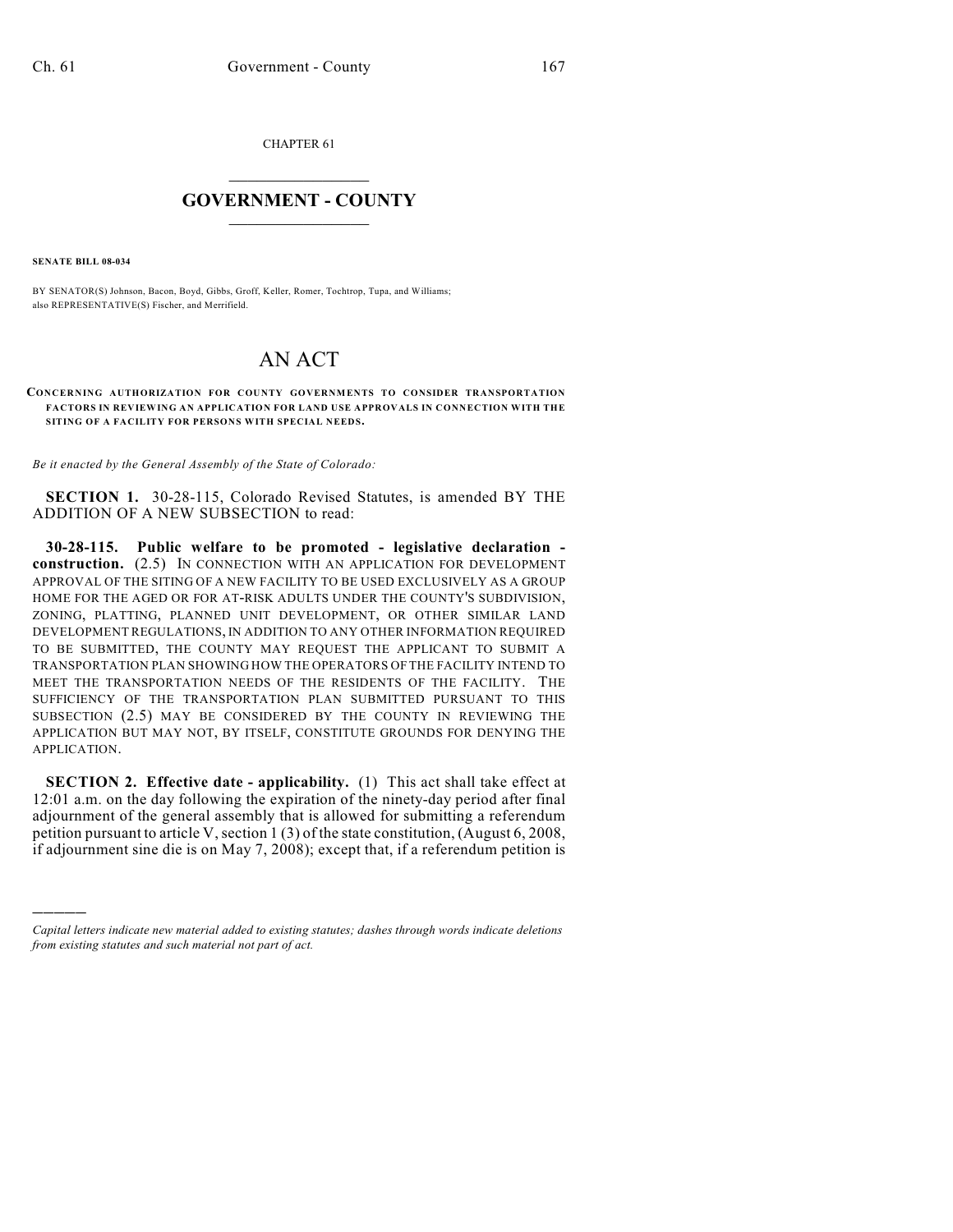CHAPTER 61

## $\overline{\phantom{a}}$  . The set of the set of the set of the set of the set of the set of the set of the set of the set of the set of the set of the set of the set of the set of the set of the set of the set of the set of the set o **GOVERNMENT - COUNTY**  $\_$

**SENATE BILL 08-034**

)))))

BY SENATOR(S) Johnson, Bacon, Boyd, Gibbs, Groff, Keller, Romer, Tochtrop, Tupa, and Williams; also REPRESENTATIVE(S) Fischer, and Merrifield.

## AN ACT

## **CONCERNING AUTHORIZATION FOR COUNTY GOVERNMENTS TO CONSIDER TRANSPORTATION FACTORS IN REVIEWING AN APPLICATION FOR LAND USE APPROVALS IN CONNECTION WITH THE SITING OF A FACILITY FOR PERSONS WITH SPECIAL NEEDS.**

*Be it enacted by the General Assembly of the State of Colorado:*

**SECTION 1.** 30-28-115, Colorado Revised Statutes, is amended BY THE ADDITION OF A NEW SUBSECTION to read:

**30-28-115. Public welfare to be promoted - legislative declaration construction.** (2.5) IN CONNECTION WITH AN APPLICATION FOR DEVELOPMENT APPROVAL OF THE SITING OF A NEW FACILITY TO BE USED EXCLUSIVELY AS A GROUP HOME FOR THE AGED OR FOR AT-RISK ADULTS UNDER THE COUNTY'S SUBDIVISION, ZONING, PLATTING, PLANNED UNIT DEVELOPMENT, OR OTHER SIMILAR LAND DEVELOPMENT REGULATIONS, IN ADDITION TO ANY OTHER INFORMATION REQUIRED TO BE SUBMITTED, THE COUNTY MAY REQUEST THE APPLICANT TO SUBMIT A TRANSPORTATION PLAN SHOWING HOW THE OPERATORS OF THE FACILITY INTEND TO MEET THE TRANSPORTATION NEEDS OF THE RESIDENTS OF THE FACILITY. THE SUFFICIENCY OF THE TRANSPORTATION PLAN SUBMITTED PURSUANT TO THIS SUBSECTION (2.5) MAY BE CONSIDERED BY THE COUNTY IN REVIEWING THE APPLICATION BUT MAY NOT, BY ITSELF, CONSTITUTE GROUNDS FOR DENYING THE APPLICATION.

**SECTION 2. Effective date - applicability.** (1) This act shall take effect at 12:01 a.m. on the day following the expiration of the ninety-day period after final adjournment of the general assembly that is allowed for submitting a referendum petition pursuant to article V, section 1 (3) of the state constitution, (August 6, 2008, if adjournment sine die is on May 7, 2008); except that, if a referendum petition is

*Capital letters indicate new material added to existing statutes; dashes through words indicate deletions from existing statutes and such material not part of act.*